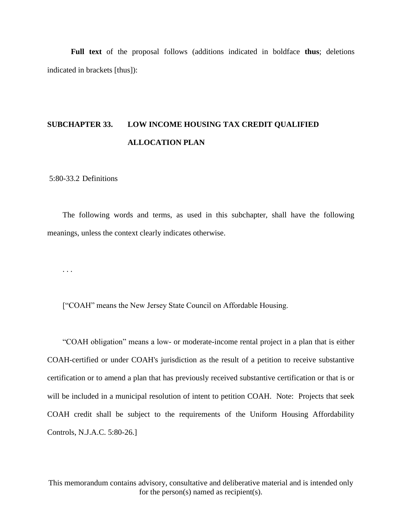**Full text** of the proposal follows (additions indicated in boldface **thus**; deletions indicated in brackets [thus]):

# **SUBCHAPTER 33. LOW INCOME HOUSING TAX CREDIT QUALIFIED ALLOCATION PLAN**

5:80-33.2 Definitions

The following words and terms, as used in this subchapter, shall have the following meanings, unless the context clearly indicates otherwise.

. . .

["COAH" means the New Jersey State Council on Affordable Housing.

"COAH obligation" means a low- or moderate-income rental project in a plan that is either COAH-certified or under COAH's jurisdiction as the result of a petition to receive substantive certification or to amend a plan that has previously received substantive certification or that is or will be included in a municipal resolution of intent to petition COAH. Note: Projects that seek COAH credit shall be subject to the requirements of the Uniform Housing Affordability Controls, N.J.A.C. 5:80-26.]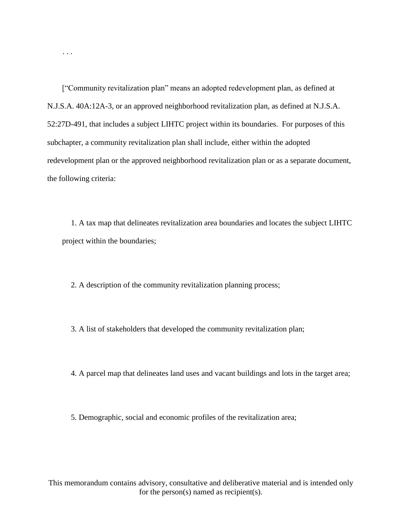["Community revitalization plan" means an adopted redevelopment plan, as defined at N.J.S.A. 40A:12A-3, or an approved neighborhood revitalization plan, as defined at N.J.S.A. 52:27D-491, that includes a subject LIHTC project within its boundaries. For purposes of this subchapter, a community revitalization plan shall include, either within the adopted redevelopment plan or the approved neighborhood revitalization plan or as a separate document, the following criteria:

. . .

1. A tax map that delineates revitalization area boundaries and locates the subject LIHTC project within the boundaries;

2. A description of the community revitalization planning process;

3. A list of stakeholders that developed the community revitalization plan;

4. A parcel map that delineates land uses and vacant buildings and lots in the target area;

5. Demographic, social and economic profiles of the revitalization area;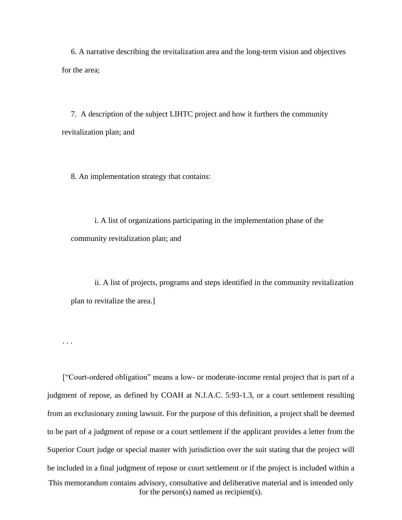6. A narrative describing the revitalization area and the long-term vision and objectives for the area;

7. A description of the subject LIHTC project and how it furthers the community revitalization plan; and

8. An implementation strategy that contains:

i. A list of organizations participating in the implementation phase of the community revitalization plan; and

ii. A list of projects, programs and steps identified in the community revitalization plan to revitalize the area.]

. . .

This memorandum contains advisory, consultative and deliberative material and is intended only for the person(s) named as recipient(s). ["Court-ordered obligation" means a low- or moderate-income rental project that is part of a judgment of repose, as defined by COAH at N.J.A.C. 5:93-1.3, or a court settlement resulting from an exclusionary zoning lawsuit. For the purpose of this definition, a project shall be deemed to be part of a judgment of repose or a court settlement if the applicant provides a letter from the Superior Court judge or special master with jurisdiction over the suit stating that the project will be included in a final judgment of repose or court settlement or if the project is included within a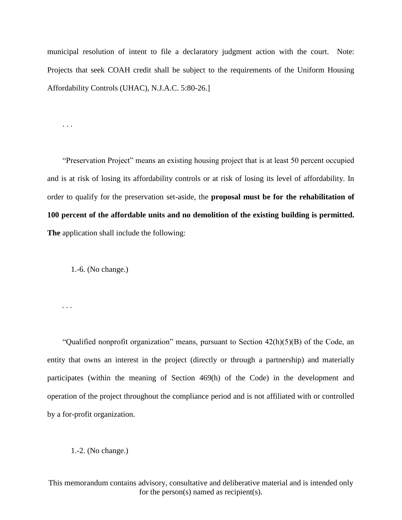municipal resolution of intent to file a declaratory judgment action with the court. Note: Projects that seek COAH credit shall be subject to the requirements of the Uniform Housing Affordability Controls (UHAC), N.J.A.C. 5:80-26.]

. . .

. . .

"Preservation Project" means an existing housing project that is at least 50 percent occupied and is at risk of losing its affordability controls or at risk of losing its level of affordability. In order to qualify for the preservation set-aside, the **proposal must be for the rehabilitation of 100 percent of the affordable units and no demolition of the existing building is permitted. The** application shall include the following:

1.-6. (No change.)

"Qualified nonprofit organization" means, pursuant to Section 42(h)(5)(B) of the Code, an entity that owns an interest in the project (directly or through a partnership) and materially participates (within the meaning of Section 469(h) of the Code) in the development and operation of the project throughout the compliance period and is not affiliated with or controlled by a for-profit organization.

1.-2. (No change.)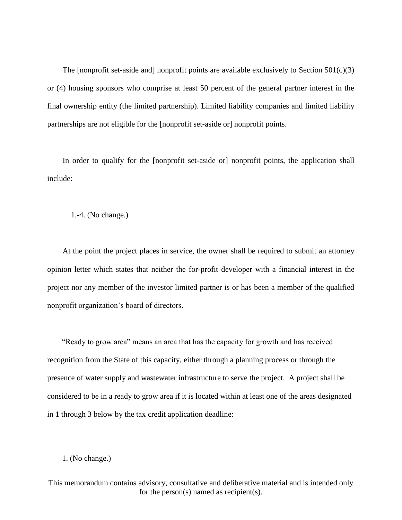The [nonprofit set-aside and] nonprofit points are available exclusively to Section  $501(c)(3)$ or (4) housing sponsors who comprise at least 50 percent of the general partner interest in the final ownership entity (the limited partnership). Limited liability companies and limited liability partnerships are not eligible for the [nonprofit set-aside or] nonprofit points.

In order to qualify for the [nonprofit set-aside or] nonprofit points, the application shall include:

1.-4. (No change.)

At the point the project places in service, the owner shall be required to submit an attorney opinion letter which states that neither the for-profit developer with a financial interest in the project nor any member of the investor limited partner is or has been a member of the qualified nonprofit organization's board of directors.

"Ready to grow area" means an area that has the capacity for growth and has received recognition from the State of this capacity, either through a planning process or through the presence of water supply and wastewater infrastructure to serve the project. A project shall be considered to be in a ready to grow area if it is located within at least one of the areas designated in 1 through 3 below by the tax credit application deadline:

### 1. (No change.)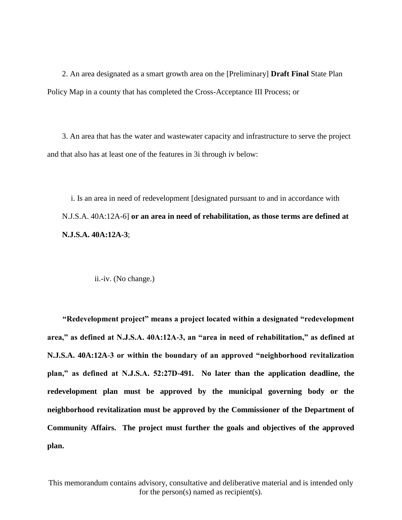2. An area designated as a smart growth area on the [Preliminary] **Draft Final** State Plan Policy Map in a county that has completed the Cross-Acceptance III Process; or

3. An area that has the water and wastewater capacity and infrastructure to serve the project and that also has at least one of the features in 3i through iv below:

i. Is an area in need of redevelopment [designated pursuant to and in accordance with N.J.S.A. 40A:12A-6] **or an area in need of rehabilitation, as those terms are defined at N.J.S.A. 40A:12A-3**;

ii.-iv. (No change.)

**"Redevelopment project" means a project located within a designated "redevelopment area," as defined at N.J.S.A. 40A:12A-3, an "area in need of rehabilitation," as defined at N.J.S.A. 40A:12A-3 or within the boundary of an approved "neighborhood revitalization plan," as defined at N.J.S.A. 52:27D-491. No later than the application deadline, the redevelopment plan must be approved by the municipal governing body or the neighborhood revitalization must be approved by the Commissioner of the Department of Community Affairs. The project must further the goals and objectives of the approved plan.**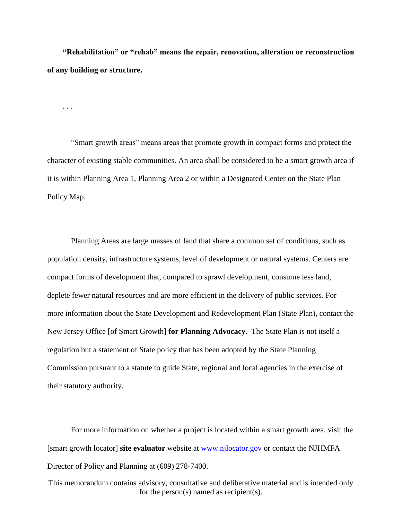**"Rehabilitation" or "rehab" means the repair, renovation, alteration or reconstruction of any building or structure.**

. . .

"Smart growth areas" means areas that promote growth in compact forms and protect the character of existing stable communities. An area shall be considered to be a smart growth area if it is within Planning Area 1, Planning Area 2 or within a Designated Center on the State Plan Policy Map.

Planning Areas are large masses of land that share a common set of conditions, such as population density, infrastructure systems, level of development or natural systems. Centers are compact forms of development that, compared to sprawl development, consume less land, deplete fewer natural resources and are more efficient in the delivery of public services. For more information about the State Development and Redevelopment Plan (State Plan), contact the New Jersey Office [of Smart Growth] **for Planning Advocacy**. The State Plan is not itself a regulation but a statement of State policy that has been adopted by the State Planning Commission pursuant to a statute to guide State, regional and local agencies in the exercise of their statutory authority.

For more information on whether a project is located within a smart growth area, visit the [smart growth locator] **site evaluator** website at [www.njlocator.gov](http://www.njlocator.gov/) or contact the NJHMFA Director of Policy and Planning at (609) 278-7400.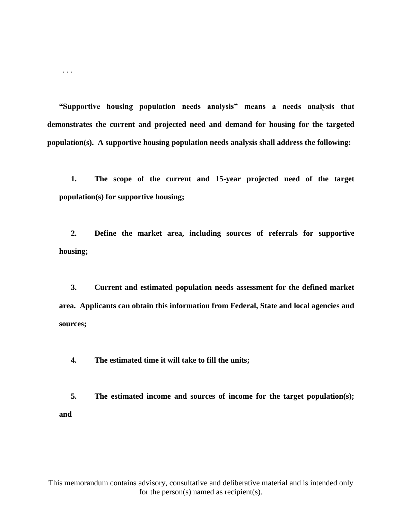**"Supportive housing population needs analysis" means a needs analysis that demonstrates the current and projected need and demand for housing for the targeted population(s). A supportive housing population needs analysis shall address the following:**

. . .

**1. The scope of the current and 15-year projected need of the target population(s) for supportive housing;**

**2. Define the market area, including sources of referrals for supportive housing;**

**3. Current and estimated population needs assessment for the defined market area. Applicants can obtain this information from Federal, State and local agencies and sources;**

**4. The estimated time it will take to fill the units;**

**5. The estimated income and sources of income for the target population(s); and**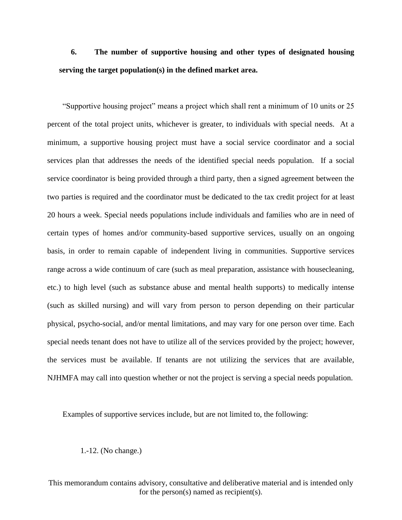## **6. The number of supportive housing and other types of designated housing serving the target population(s) in the defined market area.**

"Supportive housing project" means a project which shall rent a minimum of 10 units or 25 percent of the total project units, whichever is greater, to individuals with special needs. At a minimum, a supportive housing project must have a social service coordinator and a social services plan that addresses the needs of the identified special needs population. If a social service coordinator is being provided through a third party, then a signed agreement between the two parties is required and the coordinator must be dedicated to the tax credit project for at least 20 hours a week. Special needs populations include individuals and families who are in need of certain types of homes and/or community-based supportive services, usually on an ongoing basis, in order to remain capable of independent living in communities. Supportive services range across a wide continuum of care (such as meal preparation, assistance with housecleaning, etc.) to high level (such as substance abuse and mental health supports) to medically intense (such as skilled nursing) and will vary from person to person depending on their particular physical, psycho-social, and/or mental limitations, and may vary for one person over time. Each special needs tenant does not have to utilize all of the services provided by the project; however, the services must be available. If tenants are not utilizing the services that are available, NJHMFA may call into question whether or not the project is serving a special needs population.

Examples of supportive services include, but are not limited to, the following:

1.-12. (No change.)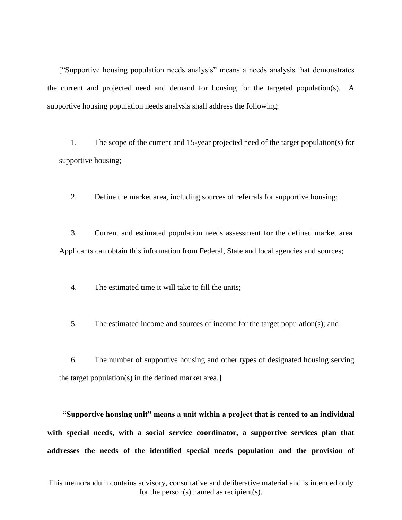["Supportive housing population needs analysis" means a needs analysis that demonstrates the current and projected need and demand for housing for the targeted population(s). A supportive housing population needs analysis shall address the following:

1. The scope of the current and 15-year projected need of the target population(s) for supportive housing;

2. Define the market area, including sources of referrals for supportive housing;

3. Current and estimated population needs assessment for the defined market area. Applicants can obtain this information from Federal, State and local agencies and sources;

4. The estimated time it will take to fill the units;

5. The estimated income and sources of income for the target population(s); and

6. The number of supportive housing and other types of designated housing serving the target population(s) in the defined market area.]

**"Supportive housing unit" means a unit within a project that is rented to an individual with special needs, with a social service coordinator, a supportive services plan that addresses the needs of the identified special needs population and the provision of**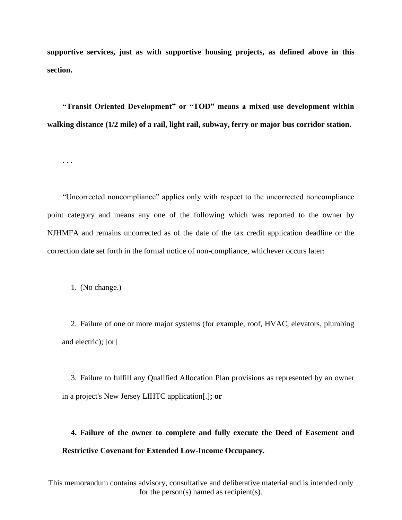**supportive services, just as with supportive housing projects, as defined above in this section.**

**"Transit Oriented Development" or "TOD" means a mixed use development within walking distance (1/2 mile) of a rail, light rail, subway, ferry or major bus corridor station.** 

"Uncorrected noncompliance" applies only with respect to the uncorrected noncompliance point category and means any one of the following which was reported to the owner by NJHMFA and remains uncorrected as of the date of the tax credit application deadline or the correction date set forth in the formal notice of non-compliance, whichever occurs later:

1. (No change.)

. . .

2. Failure of one or more major systems (for example, roof, HVAC, elevators, plumbing and electric); [or]

3. Failure to fulfill any Qualified Allocation Plan provisions as represented by an owner in a project's New Jersey LIHTC application[.]**; or**

**4. Failure of the owner to complete and fully execute the Deed of Easement and Restrictive Covenant for Extended Low-Income Occupancy.**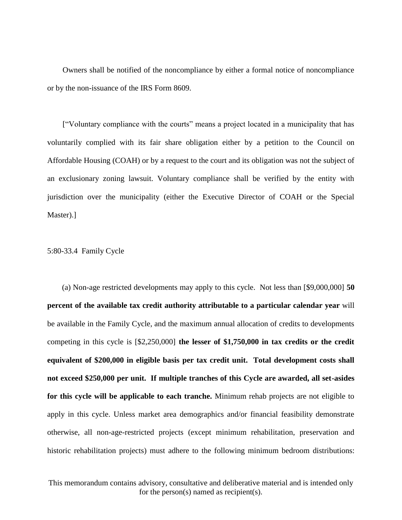Owners shall be notified of the noncompliance by either a formal notice of noncompliance or by the non-issuance of the IRS Form 8609.

["Voluntary compliance with the courts" means a project located in a municipality that has voluntarily complied with its fair share obligation either by a petition to the Council on Affordable Housing (COAH) or by a request to the court and its obligation was not the subject of an exclusionary zoning lawsuit. Voluntary compliance shall be verified by the entity with jurisdiction over the municipality (either the Executive Director of COAH or the Special Master).]

#### 5:80-33.4 Family Cycle

(a) Non-age restricted developments may apply to this cycle. Not less than [\$9,000,000] **50 percent of the available tax credit authority attributable to a particular calendar year** will be available in the Family Cycle, and the maximum annual allocation of credits to developments competing in this cycle is [\$2,250,000] **the lesser of \$1,750,000 in tax credits or the credit equivalent of \$200,000 in eligible basis per tax credit unit. Total development costs shall not exceed \$250,000 per unit. If multiple tranches of this Cycle are awarded, all set-asides for this cycle will be applicable to each tranche.** Minimum rehab projects are not eligible to apply in this cycle. Unless market area demographics and/or financial feasibility demonstrate otherwise, all non-age-restricted projects (except minimum rehabilitation, preservation and historic rehabilitation projects) must adhere to the following minimum bedroom distributions: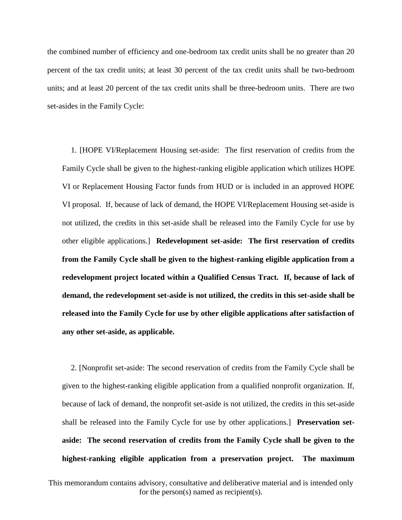the combined number of efficiency and one-bedroom tax credit units shall be no greater than 20 percent of the tax credit units; at least 30 percent of the tax credit units shall be two-bedroom units; and at least 20 percent of the tax credit units shall be three-bedroom units. There are two set-asides in the Family Cycle:

1. [HOPE VI/Replacement Housing set-aside: The first reservation of credits from the Family Cycle shall be given to the highest-ranking eligible application which utilizes HOPE VI or Replacement Housing Factor funds from HUD or is included in an approved HOPE VI proposal. If, because of lack of demand, the HOPE VI/Replacement Housing set-aside is not utilized, the credits in this set-aside shall be released into the Family Cycle for use by other eligible applications.] **Redevelopment set-aside: The first reservation of credits from the Family Cycle shall be given to the highest-ranking eligible application from a redevelopment project located within a Qualified Census Tract. If, because of lack of demand, the redevelopment set-aside is not utilized, the credits in this set-aside shall be released into the Family Cycle for use by other eligible applications after satisfaction of any other set-aside, as applicable.** 

2. [Nonprofit set-aside: The second reservation of credits from the Family Cycle shall be given to the highest-ranking eligible application from a qualified nonprofit organization. If, because of lack of demand, the nonprofit set-aside is not utilized, the credits in this set-aside shall be released into the Family Cycle for use by other applications.] **Preservation setaside: The second reservation of credits from the Family Cycle shall be given to the highest-ranking eligible application from a preservation project. The maximum**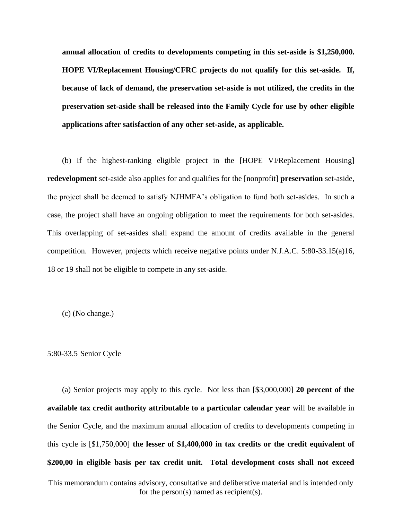**annual allocation of credits to developments competing in this set-aside is \$1,250,000. HOPE VI/Replacement Housing/CFRC projects do not qualify for this set-aside. If, because of lack of demand, the preservation set-aside is not utilized, the credits in the preservation set-aside shall be released into the Family Cycle for use by other eligible applications after satisfaction of any other set-aside, as applicable.** 

(b) If the highest-ranking eligible project in the [HOPE VI/Replacement Housing] **redevelopment** set-aside also applies for and qualifies for the [nonprofit] **preservation** set-aside, the project shall be deemed to satisfy NJHMFA's obligation to fund both set-asides. In such a case, the project shall have an ongoing obligation to meet the requirements for both set-asides. This overlapping of set-asides shall expand the amount of credits available in the general competition. However, projects which receive negative points under N.J.A.C. 5:80-33.15(a)16, 18 or 19 shall not be eligible to compete in any set-aside.

(c) (No change.)

5:80-33.5 Senior Cycle

(a) Senior projects may apply to this cycle. Not less than [\$3,000,000] **20 percent of the available tax credit authority attributable to a particular calendar year** will be available in the Senior Cycle, and the maximum annual allocation of credits to developments competing in this cycle is [\$1,750,000] **the lesser of \$1,400,000 in tax credits or the credit equivalent of \$200,00 in eligible basis per tax credit unit. Total development costs shall not exceed**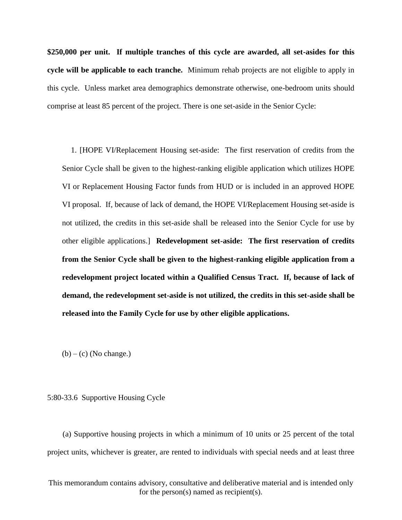**\$250,000 per unit. If multiple tranches of this cycle are awarded, all set-asides for this cycle will be applicable to each tranche.** Minimum rehab projects are not eligible to apply in this cycle. Unless market area demographics demonstrate otherwise, one-bedroom units should comprise at least 85 percent of the project. There is one set-aside in the Senior Cycle:

1. [HOPE VI/Replacement Housing set-aside: The first reservation of credits from the Senior Cycle shall be given to the highest-ranking eligible application which utilizes HOPE VI or Replacement Housing Factor funds from HUD or is included in an approved HOPE VI proposal. If, because of lack of demand, the HOPE VI/Replacement Housing set-aside is not utilized, the credits in this set-aside shall be released into the Senior Cycle for use by other eligible applications.] **Redevelopment set-aside: The first reservation of credits from the Senior Cycle shall be given to the highest-ranking eligible application from a redevelopment project located within a Qualified Census Tract. If, because of lack of demand, the redevelopment set-aside is not utilized, the credits in this set-aside shall be released into the Family Cycle for use by other eligible applications.**

 $(b) - (c)$  (No change.)

#### 5:80-33.6 Supportive Housing Cycle

(a) Supportive housing projects in which a minimum of 10 units or 25 percent of the total project units, whichever is greater, are rented to individuals with special needs and at least three

This memorandum contains advisory, consultative and deliberative material and is intended only for the person(s) named as recipient(s).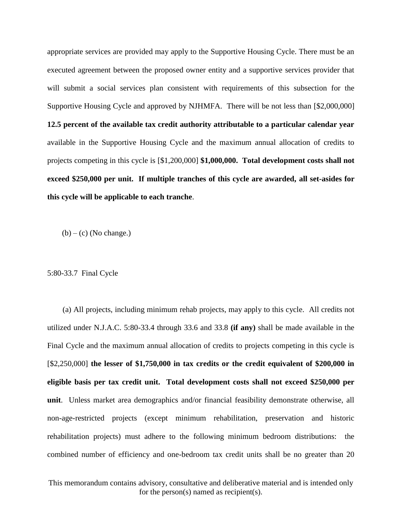appropriate services are provided may apply to the Supportive Housing Cycle. There must be an executed agreement between the proposed owner entity and a supportive services provider that will submit a social services plan consistent with requirements of this subsection for the Supportive Housing Cycle and approved by NJHMFA. There will be not less than [\$2,000,000] **12.5 percent of the available tax credit authority attributable to a particular calendar year**  available in the Supportive Housing Cycle and the maximum annual allocation of credits to projects competing in this cycle is [\$1,200,000] **\$1,000,000. Total development costs shall not exceed \$250,000 per unit. If multiple tranches of this cycle are awarded, all set-asides for this cycle will be applicable to each tranche**.

 $(b) - (c)$  (No change.)

5:80-33.7 Final Cycle

(a) All projects, including minimum rehab projects, may apply to this cycle. All credits not utilized under N.J.A.C. 5:80-33.4 through 33.6 and 33.8 **(if any)** shall be made available in the Final Cycle and the maximum annual allocation of credits to projects competing in this cycle is [\$2,250,000] **the lesser of \$1,750,000 in tax credits or the credit equivalent of \$200,000 in eligible basis per tax credit unit. Total development costs shall not exceed \$250,000 per unit**. Unless market area demographics and/or financial feasibility demonstrate otherwise, all non-age-restricted projects (except minimum rehabilitation, preservation and historic rehabilitation projects) must adhere to the following minimum bedroom distributions: the combined number of efficiency and one-bedroom tax credit units shall be no greater than 20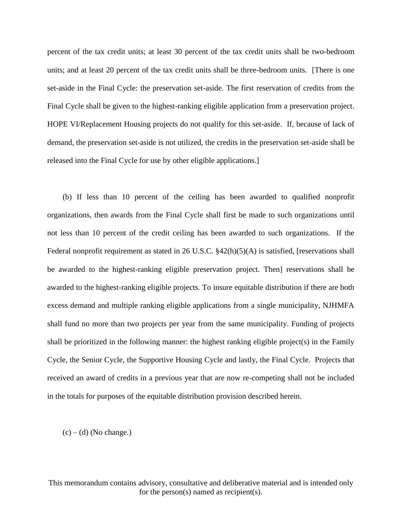percent of the tax credit units; at least 30 percent of the tax credit units shall be two-bedroom units; and at least 20 percent of the tax credit units shall be three-bedroom units. [There is one set-aside in the Final Cycle: the preservation set-aside. The first reservation of credits from the Final Cycle shall be given to the highest-ranking eligible application from a preservation project. HOPE VI/Replacement Housing projects do not qualify for this set-aside. If, because of lack of demand, the preservation set-aside is not utilized, the credits in the preservation set-aside shall be released into the Final Cycle for use by other eligible applications.]

(b) If less than 10 percent of the ceiling has been awarded to qualified nonprofit organizations, then awards from the Final Cycle shall first be made to such organizations until not less than 10 percent of the credit ceiling has been awarded to such organizations. If the Federal nonprofit requirement as stated in 26 U.S.C. §42(h)(5)(A) is satisfied, [reservations shall be awarded to the highest-ranking eligible preservation project. Then] reservations shall be awarded to the highest-ranking eligible projects. To insure equitable distribution if there are both excess demand and multiple ranking eligible applications from a single municipality, NJHMFA shall fund no more than two projects per year from the same municipality. Funding of projects shall be prioritized in the following manner: the highest ranking eligible project(s) in the Family Cycle, the Senior Cycle, the Supportive Housing Cycle and lastly, the Final Cycle. Projects that received an award of credits in a previous year that are now re-competing shall not be included in the totals for purposes of the equitable distribution provision described herein.

 $(c) - (d)$  (No change.)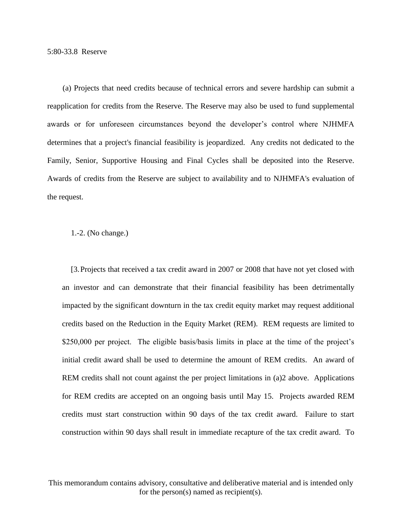(a) Projects that need credits because of technical errors and severe hardship can submit a reapplication for credits from the Reserve. The Reserve may also be used to fund supplemental awards or for unforeseen circumstances beyond the developer's control where NJHMFA determines that a project's financial feasibility is jeopardized. Any credits not dedicated to the Family, Senior, Supportive Housing and Final Cycles shall be deposited into the Reserve. Awards of credits from the Reserve are subject to availability and to NJHMFA's evaluation of the request.

#### 1.-2. (No change.)

[3.Projects that received a tax credit award in 2007 or 2008 that have not yet closed with an investor and can demonstrate that their financial feasibility has been detrimentally impacted by the significant downturn in the tax credit equity market may request additional credits based on the Reduction in the Equity Market (REM). REM requests are limited to \$250,000 per project. The eligible basis/basis limits in place at the time of the project's initial credit award shall be used to determine the amount of REM credits. An award of REM credits shall not count against the per project limitations in (a)2 above. Applications for REM credits are accepted on an ongoing basis until May 15. Projects awarded REM credits must start construction within 90 days of the tax credit award. Failure to start construction within 90 days shall result in immediate recapture of the tax credit award. To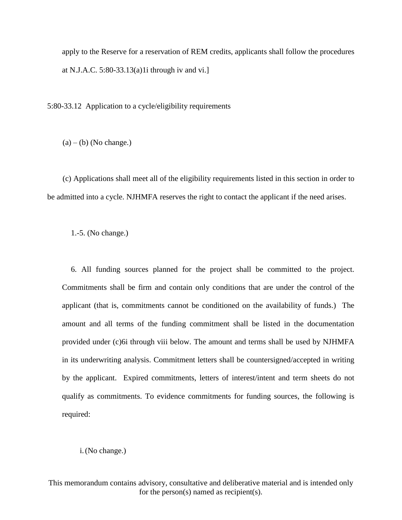apply to the Reserve for a reservation of REM credits, applicants shall follow the procedures at N.J.A.C. 5:80-33.13(a)1i through iv and vi.]

5:80-33.12 Application to a cycle/eligibility requirements

 $(a) - (b)$  (No change.)

(c) Applications shall meet all of the eligibility requirements listed in this section in order to be admitted into a cycle. NJHMFA reserves the right to contact the applicant if the need arises.

1.-5. (No change.)

6. All funding sources planned for the project shall be committed to the project. Commitments shall be firm and contain only conditions that are under the control of the applicant (that is, commitments cannot be conditioned on the availability of funds.) The amount and all terms of the funding commitment shall be listed in the documentation provided under (c)6i through viii below. The amount and terms shall be used by NJHMFA in its underwriting analysis. Commitment letters shall be countersigned/accepted in writing by the applicant. Expired commitments, letters of interest/intent and term sheets do not qualify as commitments. To evidence commitments for funding sources, the following is required:

### i.(No change.)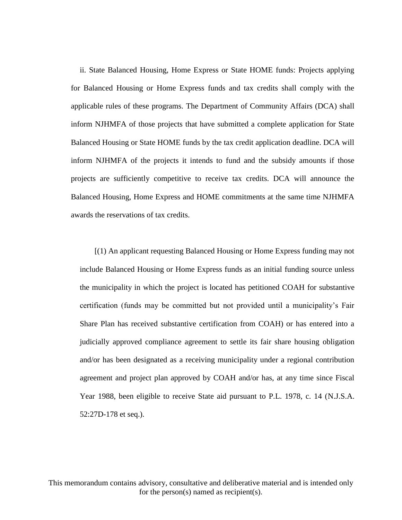ii. State Balanced Housing, Home Express or State HOME funds: Projects applying for Balanced Housing or Home Express funds and tax credits shall comply with the applicable rules of these programs. The Department of Community Affairs (DCA) shall inform NJHMFA of those projects that have submitted a complete application for State Balanced Housing or State HOME funds by the tax credit application deadline. DCA will inform NJHMFA of the projects it intends to fund and the subsidy amounts if those projects are sufficiently competitive to receive tax credits. DCA will announce the Balanced Housing, Home Express and HOME commitments at the same time NJHMFA awards the reservations of tax credits.

[(1) An applicant requesting Balanced Housing or Home Express funding may not include Balanced Housing or Home Express funds as an initial funding source unless the municipality in which the project is located has petitioned COAH for substantive certification (funds may be committed but not provided until a municipality's Fair Share Plan has received substantive certification from COAH) or has entered into a judicially approved compliance agreement to settle its fair share housing obligation and/or has been designated as a receiving municipality under a regional contribution agreement and project plan approved by COAH and/or has, at any time since Fiscal Year 1988, been eligible to receive State aid pursuant to P.L. 1978, c. 14 (N.J.S.A. 52:27D-178 et seq.).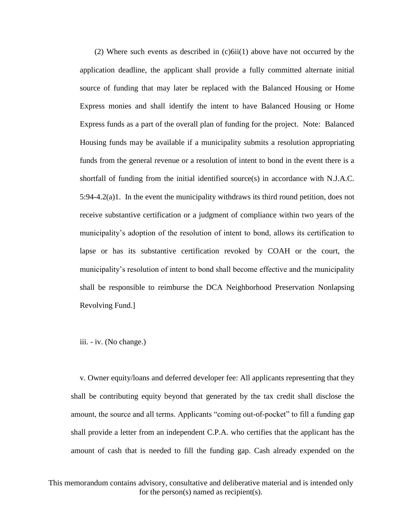(2) Where such events as described in (c)6ii(1) above have not occurred by the application deadline, the applicant shall provide a fully committed alternate initial source of funding that may later be replaced with the Balanced Housing or Home Express monies and shall identify the intent to have Balanced Housing or Home Express funds as a part of the overall plan of funding for the project. Note: Balanced Housing funds may be available if a municipality submits a resolution appropriating funds from the general revenue or a resolution of intent to bond in the event there is a shortfall of funding from the initial identified source(s) in accordance with N.J.A.C. 5:94-4.2(a)1. In the event the municipality withdraws its third round petition, does not receive substantive certification or a judgment of compliance within two years of the municipality's adoption of the resolution of intent to bond, allows its certification to lapse or has its substantive certification revoked by COAH or the court, the municipality's resolution of intent to bond shall become effective and the municipality shall be responsible to reimburse the DCA Neighborhood Preservation Nonlapsing Revolving Fund.]

iii. - iv. (No change.)

v. Owner equity/loans and deferred developer fee: All applicants representing that they shall be contributing equity beyond that generated by the tax credit shall disclose the amount, the source and all terms. Applicants "coming out-of-pocket" to fill a funding gap shall provide a letter from an independent C.P.A. who certifies that the applicant has the amount of cash that is needed to fill the funding gap. Cash already expended on the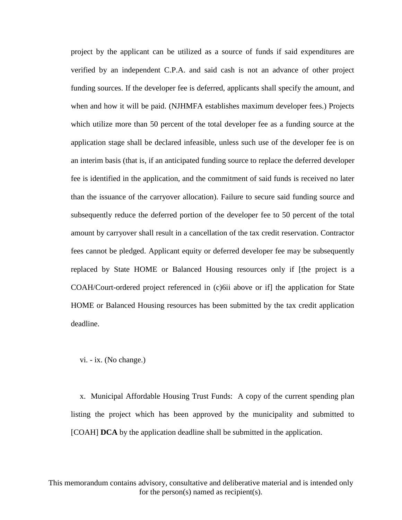project by the applicant can be utilized as a source of funds if said expenditures are verified by an independent C.P.A. and said cash is not an advance of other project funding sources. If the developer fee is deferred, applicants shall specify the amount, and when and how it will be paid. (NJHMFA establishes maximum developer fees.) Projects which utilize more than 50 percent of the total developer fee as a funding source at the application stage shall be declared infeasible, unless such use of the developer fee is on an interim basis (that is, if an anticipated funding source to replace the deferred developer fee is identified in the application, and the commitment of said funds is received no later than the issuance of the carryover allocation). Failure to secure said funding source and subsequently reduce the deferred portion of the developer fee to 50 percent of the total amount by carryover shall result in a cancellation of the tax credit reservation. Contractor fees cannot be pledged. Applicant equity or deferred developer fee may be subsequently replaced by State HOME or Balanced Housing resources only if [the project is a COAH/Court-ordered project referenced in (c)6ii above or if] the application for State HOME or Balanced Housing resources has been submitted by the tax credit application deadline.

vi. - ix. (No change.)

x. Municipal Affordable Housing Trust Funds: A copy of the current spending plan listing the project which has been approved by the municipality and submitted to [COAH] **DCA** by the application deadline shall be submitted in the application.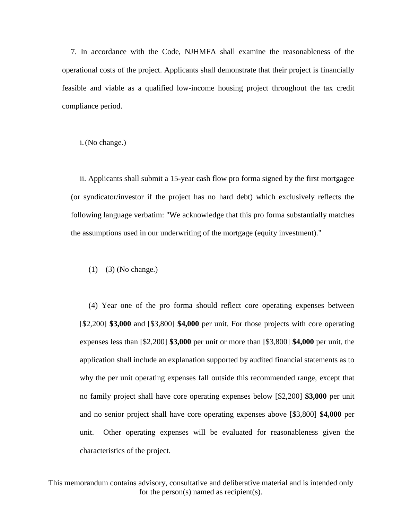7. In accordance with the Code, NJHMFA shall examine the reasonableness of the operational costs of the project. Applicants shall demonstrate that their project is financially feasible and viable as a qualified low-income housing project throughout the tax credit compliance period.

i.(No change.)

ii. Applicants shall submit a 15-year cash flow pro forma signed by the first mortgagee (or syndicator/investor if the project has no hard debt) which exclusively reflects the following language verbatim: "We acknowledge that this pro forma substantially matches the assumptions used in our underwriting of the mortgage (equity investment)."

 $(1) - (3)$  (No change.)

(4) Year one of the pro forma should reflect core operating expenses between [\$2,200] **\$3,000** and [\$3,800] **\$4,000** per unit. For those projects with core operating expenses less than [\$2,200] **\$3,000** per unit or more than [\$3,800] **\$4,000** per unit, the application shall include an explanation supported by audited financial statements as to why the per unit operating expenses fall outside this recommended range, except that no family project shall have core operating expenses below [\$2,200] **\$3,000** per unit and no senior project shall have core operating expenses above [\$3,800] **\$4,000** per unit. Other operating expenses will be evaluated for reasonableness given the characteristics of the project.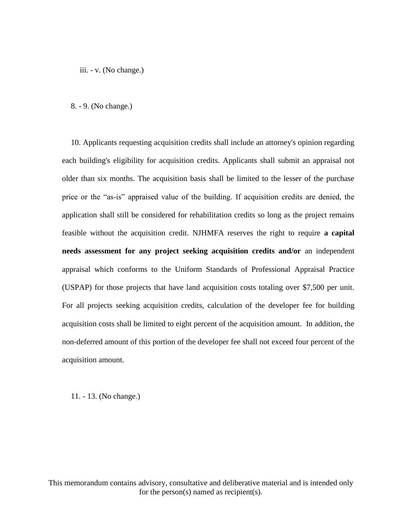iii. - v. (No change.)

8. - 9. (No change.)

10. Applicants requesting acquisition credits shall include an attorney's opinion regarding each building's eligibility for acquisition credits. Applicants shall submit an appraisal not older than six months. The acquisition basis shall be limited to the lesser of the purchase price or the "as-is" appraised value of the building. If acquisition credits are denied, the application shall still be considered for rehabilitation credits so long as the project remains feasible without the acquisition credit. NJHMFA reserves the right to require **a capital needs assessment for any project seeking acquisition credits and/or** an independent appraisal which conforms to the Uniform Standards of Professional Appraisal Practice (USPAP) for those projects that have land acquisition costs totaling over \$7,500 per unit. For all projects seeking acquisition credits, calculation of the developer fee for building acquisition costs shall be limited to eight percent of the acquisition amount. In addition, the non-deferred amount of this portion of the developer fee shall not exceed four percent of the acquisition amount.

11. - 13. (No change.)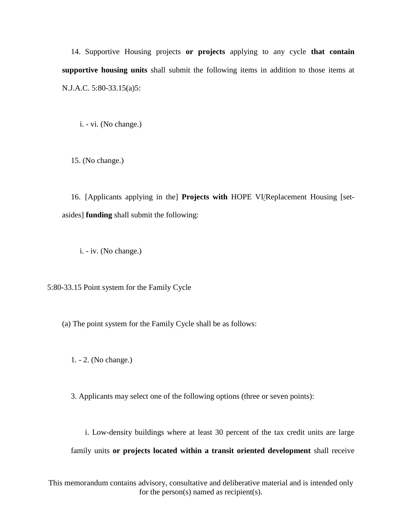14. Supportive Housing projects **or projects** applying to any cycle **that contain supportive housing units** shall submit the following items in addition to those items at N.J.A.C. 5:80-33.15(a)5:

i. - vi. (No change.)

15. (No change.)

16. [Applicants applying in the] **Projects with** HOPE VI/Replacement Housing [setasides] **funding** shall submit the following:

i. - iv. (No change.)

5:80-33.15 Point system for the Family Cycle

(a) The point system for the Family Cycle shall be as follows:

1. - 2. (No change.)

3. Applicants may select one of the following options (three or seven points):

i. Low-density buildings where at least 30 percent of the tax credit units are large family units **or projects located within a transit oriented development** shall receive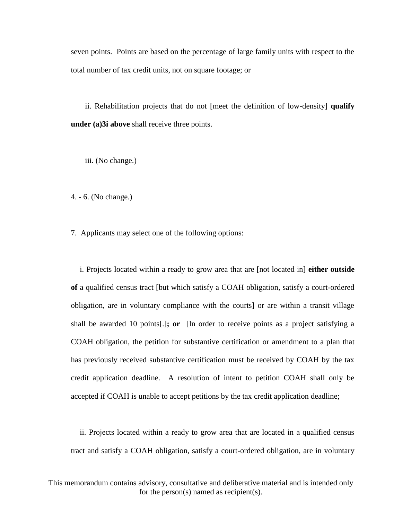seven points. Points are based on the percentage of large family units with respect to the total number of tax credit units, not on square footage; or

ii. Rehabilitation projects that do not [meet the definition of low-density] **qualify under (a)3i above** shall receive three points.

iii. (No change.)

4. - 6. (No change.)

7. Applicants may select one of the following options:

i. Projects located within a ready to grow area that are [not located in] **either outside of** a qualified census tract [but which satisfy a COAH obligation, satisfy a court-ordered obligation, are in voluntary compliance with the courts] or are within a transit village shall be awarded 10 points[.]**; or** [In order to receive points as a project satisfying a COAH obligation, the petition for substantive certification or amendment to a plan that has previously received substantive certification must be received by COAH by the tax credit application deadline. A resolution of intent to petition COAH shall only be accepted if COAH is unable to accept petitions by the tax credit application deadline;

ii. Projects located within a ready to grow area that are located in a qualified census tract and satisfy a COAH obligation, satisfy a court-ordered obligation, are in voluntary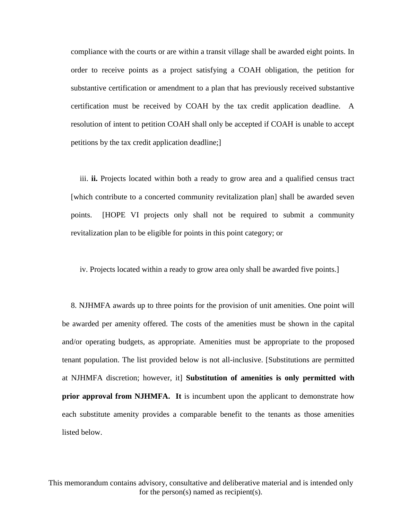compliance with the courts or are within a transit village shall be awarded eight points. In order to receive points as a project satisfying a COAH obligation, the petition for substantive certification or amendment to a plan that has previously received substantive certification must be received by COAH by the tax credit application deadline. A resolution of intent to petition COAH shall only be accepted if COAH is unable to accept petitions by the tax credit application deadline;]

iii. **ii.** Projects located within both a ready to grow area and a qualified census tract [which contribute to a concerted community revitalization plan] shall be awarded seven points. [HOPE VI projects only shall not be required to submit a community revitalization plan to be eligible for points in this point category; or

iv. Projects located within a ready to grow area only shall be awarded five points.]

8. NJHMFA awards up to three points for the provision of unit amenities. One point will be awarded per amenity offered. The costs of the amenities must be shown in the capital and/or operating budgets, as appropriate. Amenities must be appropriate to the proposed tenant population. The list provided below is not all-inclusive. [Substitutions are permitted at NJHMFA discretion; however, it] **Substitution of amenities is only permitted with prior approval from NJHMFA. It** is incumbent upon the applicant to demonstrate how each substitute amenity provides a comparable benefit to the tenants as those amenities listed below.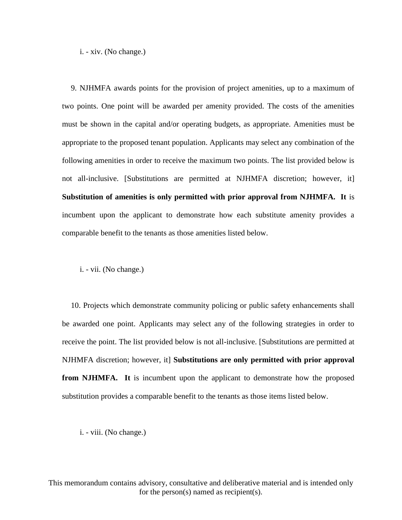i. - xiv. (No change.)

9. NJHMFA awards points for the provision of project amenities, up to a maximum of two points. One point will be awarded per amenity provided. The costs of the amenities must be shown in the capital and/or operating budgets, as appropriate. Amenities must be appropriate to the proposed tenant population. Applicants may select any combination of the following amenities in order to receive the maximum two points. The list provided below is not all-inclusive. [Substitutions are permitted at NJHMFA discretion; however, it] **Substitution of amenities is only permitted with prior approval from NJHMFA. It** is incumbent upon the applicant to demonstrate how each substitute amenity provides a comparable benefit to the tenants as those amenities listed below.

i. - vii. (No change.)

10. Projects which demonstrate community policing or public safety enhancements shall be awarded one point. Applicants may select any of the following strategies in order to receive the point. The list provided below is not all-inclusive. [Substitutions are permitted at NJHMFA discretion; however, it] **Substitutions are only permitted with prior approval from NJHMFA.** It is incumbent upon the applicant to demonstrate how the proposed substitution provides a comparable benefit to the tenants as those items listed below.

i. - viii. (No change.)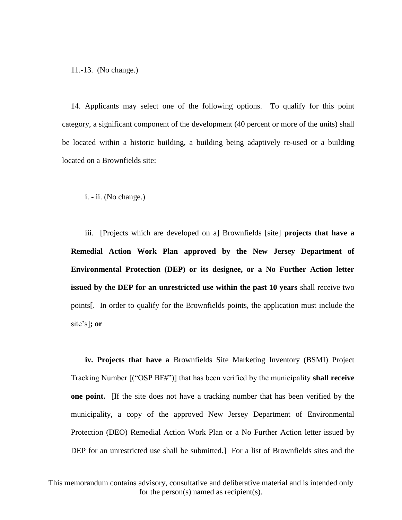11.-13. (No change.)

14. Applicants may select one of the following options. To qualify for this point category, a significant component of the development (40 percent or more of the units) shall be located within a historic building, a building being adaptively re-used or a building located on a Brownfields site:

i. - ii. (No change.)

iii. [Projects which are developed on a] Brownfields [site] **projects that have a Remedial Action Work Plan approved by the New Jersey Department of Environmental Protection (DEP) or its designee, or a No Further Action letter issued by the DEP for an unrestricted use within the past 10 years** shall receive two points[. In order to qualify for the Brownfields points, the application must include the site's]**; or**

**iv. Projects that have a** Brownfields Site Marketing Inventory (BSMI) Project Tracking Number [("OSP BF#")] that has been verified by the municipality **shall receive one point.** [If the site does not have a tracking number that has been verified by the municipality, a copy of the approved New Jersey Department of Environmental Protection (DEO) Remedial Action Work Plan or a No Further Action letter issued by DEP for an unrestricted use shall be submitted. For a list of Brownfields sites and the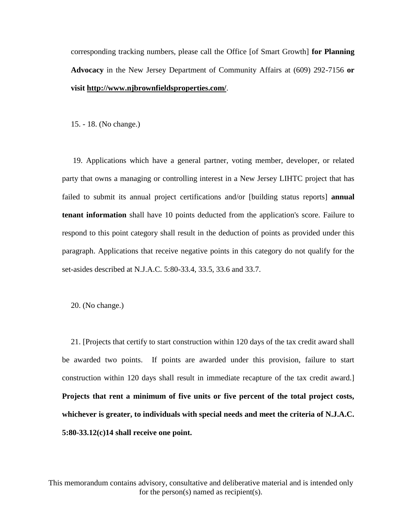corresponding tracking numbers, please call the Office [of Smart Growth] **for Planning Advocacy** in the New Jersey Department of Community Affairs at (609) 292-7156 **or visit http://www.njbrownfieldsproperties.com/**.

15. - 18. (No change.)

19. Applications which have a general partner, voting member, developer, or related party that owns a managing or controlling interest in a New Jersey LIHTC project that has failed to submit its annual project certifications and/or [building status reports] **annual tenant information** shall have 10 points deducted from the application's score. Failure to respond to this point category shall result in the deduction of points as provided under this paragraph. Applications that receive negative points in this category do not qualify for the set-asides described at N.J.A.C. 5:80-33.4, 33.5, 33.6 and 33.7.

20. (No change.)

21. [Projects that certify to start construction within 120 days of the tax credit award shall be awarded two points. If points are awarded under this provision, failure to start construction within 120 days shall result in immediate recapture of the tax credit award.] **Projects that rent a minimum of five units or five percent of the total project costs, whichever is greater, to individuals with special needs and meet the criteria of N.J.A.C. 5:80-33.12(c)14 shall receive one point.**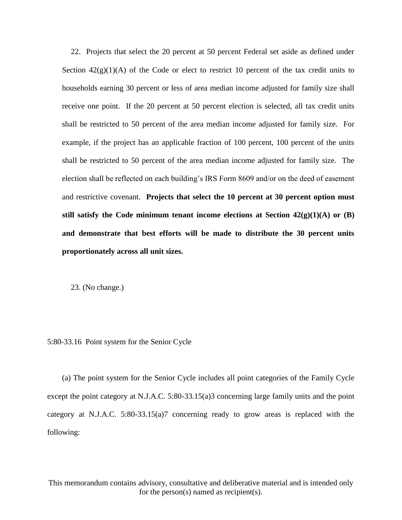22. Projects that select the 20 percent at 50 percent Federal set aside as defined under Section  $42(g)(1)(A)$  of the Code or elect to restrict 10 percent of the tax credit units to households earning 30 percent or less of area median income adjusted for family size shall receive one point. If the 20 percent at 50 percent election is selected, all tax credit units shall be restricted to 50 percent of the area median income adjusted for family size. For example, if the project has an applicable fraction of 100 percent, 100 percent of the units shall be restricted to 50 percent of the area median income adjusted for family size. The election shall be reflected on each building's IRS Form 8609 and/or on the deed of easement and restrictive covenant. **Projects that select the 10 percent at 30 percent option must**  still satisfy the Code minimum tenant income elections at Section  $42(g)(1)(A)$  or  $(B)$ **and demonstrate that best efforts will be made to distribute the 30 percent units proportionately across all unit sizes.**

23. (No change.)

5:80-33.16 Point system for the Senior Cycle

(a) The point system for the Senior Cycle includes all point categories of the Family Cycle except the point category at N.J.A.C. 5:80-33.15(a)3 concerning large family units and the point category at N.J.A.C. 5:80-33.15(a)7 concerning ready to grow areas is replaced with the following: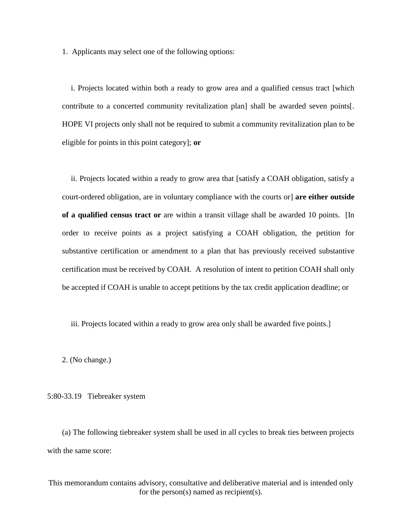1. Applicants may select one of the following options:

i. Projects located within both a ready to grow area and a qualified census tract [which contribute to a concerted community revitalization plan] shall be awarded seven points[. HOPE VI projects only shall not be required to submit a community revitalization plan to be eligible for points in this point category]; **or**

ii. Projects located within a ready to grow area that [satisfy a COAH obligation, satisfy a court-ordered obligation, are in voluntary compliance with the courts or] **are either outside of a qualified census tract or** are within a transit village shall be awarded 10 points. [In order to receive points as a project satisfying a COAH obligation, the petition for substantive certification or amendment to a plan that has previously received substantive certification must be received by COAH. A resolution of intent to petition COAH shall only be accepted if COAH is unable to accept petitions by the tax credit application deadline; or

iii. Projects located within a ready to grow area only shall be awarded five points.]

2. (No change.)

5:80-33.19 Tiebreaker system

(a) The following tiebreaker system shall be used in all cycles to break ties between projects with the same score: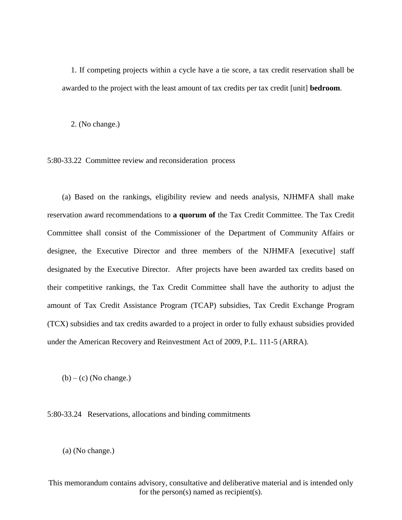1. If competing projects within a cycle have a tie score, a tax credit reservation shall be awarded to the project with the least amount of tax credits per tax credit [unit] **bedroom**.

2. (No change.)

5:80-33.22 Committee review and reconsideration process

(a) Based on the rankings, eligibility review and needs analysis, NJHMFA shall make reservation award recommendations to **a quorum of** the Tax Credit Committee. The Tax Credit Committee shall consist of the Commissioner of the Department of Community Affairs or designee, the Executive Director and three members of the NJHMFA [executive] staff designated by the Executive Director. After projects have been awarded tax credits based on their competitive rankings, the Tax Credit Committee shall have the authority to adjust the amount of Tax Credit Assistance Program (TCAP) subsidies, Tax Credit Exchange Program (TCX) subsidies and tax credits awarded to a project in order to fully exhaust subsidies provided under the American Recovery and Reinvestment Act of 2009, P.L. 111-5 (ARRA).

 $(b) - (c)$  (No change.)

5:80-33.24 Reservations, allocations and binding commitments

(a) (No change.)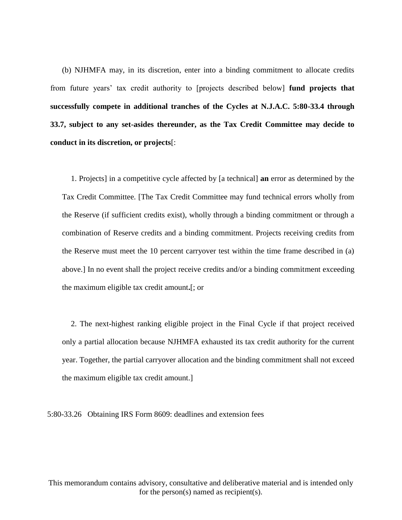(b) NJHMFA may, in its discretion, enter into a binding commitment to allocate credits from future years' tax credit authority to [projects described below] **fund projects that successfully compete in additional tranches of the Cycles at N.J.A.C. 5:80-33.4 through 33.7, subject to any set-asides thereunder, as the Tax Credit Committee may decide to conduct in its discretion, or projects**[:

1. Projects] in a competitive cycle affected by [a technical] **an** error as determined by the Tax Credit Committee. [The Tax Credit Committee may fund technical errors wholly from the Reserve (if sufficient credits exist), wholly through a binding commitment or through a combination of Reserve credits and a binding commitment. Projects receiving credits from the Reserve must meet the 10 percent carryover test within the time frame described in (a) above.] In no event shall the project receive credits and/or a binding commitment exceeding the maximum eligible tax credit amount**.**[; or

2. The next-highest ranking eligible project in the Final Cycle if that project received only a partial allocation because NJHMFA exhausted its tax credit authority for the current year. Together, the partial carryover allocation and the binding commitment shall not exceed the maximum eligible tax credit amount.]

5:80-33.26 Obtaining IRS Form 8609: deadlines and extension fees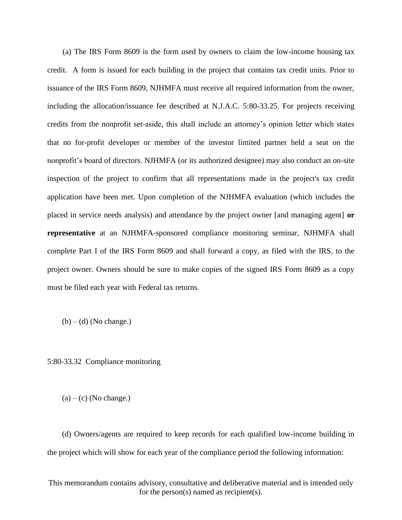(a) The IRS Form 8609 is the form used by owners to claim the low-income housing tax credit. A form is issued for each building in the project that contains tax credit units. Prior to issuance of the IRS Form 8609, NJHMFA must receive all required information from the owner, including the allocation/issuance fee described at N.J.A.C. 5:80-33.25. For projects receiving credits from the nonprofit set-aside, this shall include an attorney's opinion letter which states that no for-profit developer or member of the investor limited partner held a seat on the nonprofit's board of directors. NJHMFA (or its authorized designee) may also conduct an on-site inspection of the project to confirm that all representations made in the project's tax credit application have been met. Upon completion of the NJHMFA evaluation (which includes the placed in service needs analysis) and attendance by the project owner [and managing agent] **or representative** at an NJHMFA-sponsored compliance monitoring seminar, NJHMFA shall complete Part I of the IRS Form 8609 and shall forward a copy, as filed with the IRS, to the project owner. Owners should be sure to make copies of the signed IRS Form 8609 as a copy must be filed each year with Federal tax returns.

 $(b) - (d)$  (No change.)

5:80-33.32 Compliance monitoring

 $(a) - (c)$  (No change.)

(d) Owners/agents are required to keep records for each qualified low-income building in the project which will show for each year of the compliance period the following information:

This memorandum contains advisory, consultative and deliberative material and is intended only for the person(s) named as recipient(s).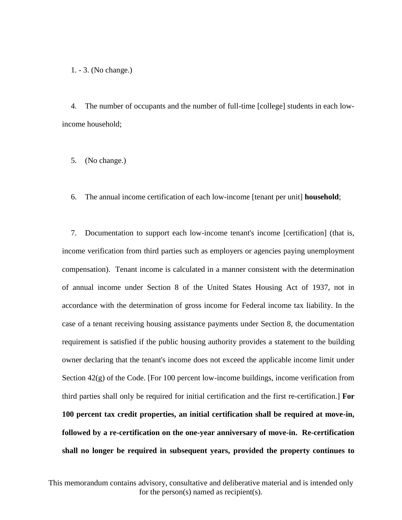1. - 3. (No change.)

4. The number of occupants and the number of full-time [college] students in each lowincome household;

5. (No change.)

6. The annual income certification of each low-income [tenant per unit] **household**;

7. Documentation to support each low-income tenant's income [certification] (that is, income verification from third parties such as employers or agencies paying unemployment compensation). Tenant income is calculated in a manner consistent with the determination of annual income under Section 8 of the United States Housing Act of 1937, not in accordance with the determination of gross income for Federal income tax liability. In the case of a tenant receiving housing assistance payments under Section 8, the documentation requirement is satisfied if the public housing authority provides a statement to the building owner declaring that the tenant's income does not exceed the applicable income limit under Section  $42(g)$  of the Code. [For 100 percent low-income buildings, income verification from third parties shall only be required for initial certification and the first re-certification.] **For 100 percent tax credit properties, an initial certification shall be required at move-in, followed by a re-certification on the one-year anniversary of move-in. Re-certification shall no longer be required in subsequent years, provided the property continues to**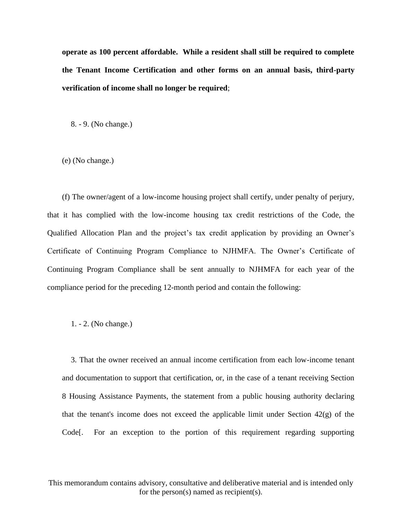**operate as 100 percent affordable. While a resident shall still be required to complete the Tenant Income Certification and other forms on an annual basis, third-party verification of income shall no longer be required**;

8. - 9. (No change.)

(e) (No change.)

(f) The owner/agent of a low-income housing project shall certify, under penalty of perjury, that it has complied with the low-income housing tax credit restrictions of the Code, the Qualified Allocation Plan and the project's tax credit application by providing an Owner's Certificate of Continuing Program Compliance to NJHMFA. The Owner's Certificate of Continuing Program Compliance shall be sent annually to NJHMFA for each year of the compliance period for the preceding 12-month period and contain the following:

#### 1. - 2. (No change.)

3. That the owner received an annual income certification from each low-income tenant and documentation to support that certification, or, in the case of a tenant receiving Section 8 Housing Assistance Payments, the statement from a public housing authority declaring that the tenant's income does not exceed the applicable limit under Section  $42(g)$  of the Code[. For an exception to the portion of this requirement regarding supporting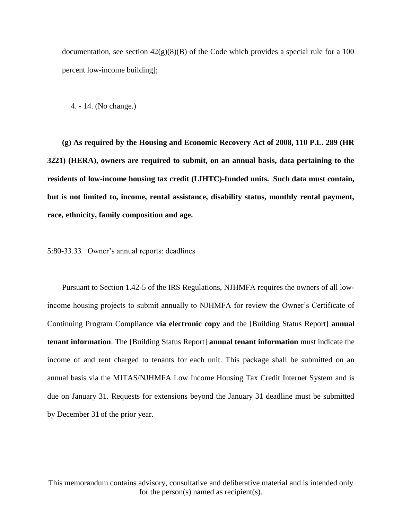documentation, see section  $42(g)(8)(B)$  of the Code which provides a special rule for a 100 percent low-income building];

4. - 14. (No change.)

**(g) As required by the Housing and Economic Recovery Act of 2008, 110 P.L. 289 (HR 3221) (HERA), owners are required to submit, on an annual basis, data pertaining to the residents of low-income housing tax credit (LIHTC)-funded units. Such data must contain, but is not limited to, income, rental assistance, disability status, monthly rental payment, race, ethnicity, family composition and age.** 

5:80-33.33 Owner's annual reports: deadlines

Pursuant to Section 1.42-5 of the IRS Regulations, NJHMFA requires the owners of all lowincome housing projects to submit annually to NJHMFA for review the Owner's Certificate of Continuing Program Compliance **via electronic copy** and the [Building Status Report] **annual tenant information**. The [Building Status Report] **annual tenant information** must indicate the income of and rent charged to tenants for each unit. This package shall be submitted on an annual basis via the MITAS/NJHMFA Low Income Housing Tax Credit Internet System and is due on January 31. Requests for extensions beyond the January 31 deadline must be submitted by December 31 of the prior year.